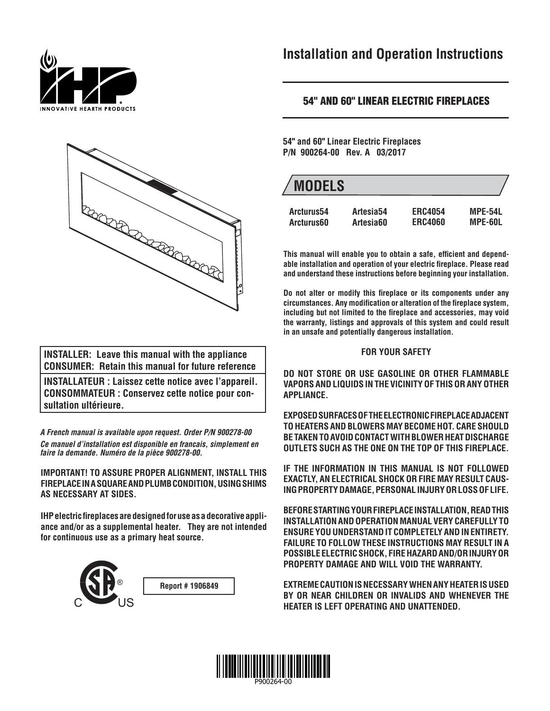



**INSTALLER: Leave this manual with the appliance CONSUMER: Retain this manual for future reference**

**INSTALLATEUR : Laissez cette notice avec l'appareil. CONSOMMATEUR : Conservez cette notice pour consultation ultérieure.**

*A French manual is available upon request. Order P/N 900278-00 Ce manuel d'installation est disponible en francais, simplement en faire la demande. Numéro de la pièce 900278-00.*

**IMPORTANT! TO ASSURE PROPER ALIGNMENT, INSTALL THIS FIREPLACE IN A SQUARE AND PLUMB CONDITION, USING SHIMS AS NECESSARY AT SIDES.**

**IHP electric fireplaces are designed for use as a decorative appliance and/or as a supplemental heater. They are not intended for continuous use as a primary heat source.**



## **Installation and Operation Instructions**

## **54" AND 60" LINEAR ELECTRIC FIREPLACES**

**54" and 60" Linear Electric Fireplaces P/N 900264-00 Rev. A 03/2017**

| <b>MODELS</b> |                       |                |                |
|---------------|-----------------------|----------------|----------------|
| Arcturus54    | Artesia <sub>54</sub> | <b>ERC4054</b> | <b>MPE-54L</b> |
| Arcturus60    | Artesia60             | <b>ERC4060</b> | MPE-60L        |

This manual will enable you to obtain a safe, efficient and dependable installation and operation of your electric fireplace. Please read **and understand these instructions before beginning your installation.**

Do not alter or modify this fireplace or its components under any circumstances. Any modification or alteration of the fireplace system, including but not limited to the fireplace and accessories, may void **the warranty, listings and approvals of this system and could result in an unsafe and potentially dangerous installation.**

### **FOR YOUR SAFETY**

**DO NOT STORE OR USE GASOLINE OR OTHER FLAMMABLE VAPORS AND LIQUIDS IN THE VICINITY OF THIS OR ANY OTHER APPLIANCE.**

**EXPOSED SURFACES OF THE ELECTRONIC FIREPLACE ADJACENT TO HEATERS AND BLOWERS MAY BECOME HOT. CARE SHOULD BE TAKEN TO AVOID CONTACT WITH BLOWER HEAT DISCHARGE OUTLETS SUCH AS THE ONE ON THE TOP OF THIS FIREPLACE.**

**IF THE INFORMATION IN THIS MANUAL IS NOT FOLLOWED EXACTLY, AN ELECTRICAL SHOCK OR FIRE MAY RESULT CAUS-ING PROPERTY DAMAGE, PERSONAL INJURY OR LOSS OF LIFE.**

**BEFORE STARTING YOUR FIREPLACE INSTALLATION, READ THIS INSTALLATION AND OPERATION MANUAL VERY CAREFULLY TO ENSURE YOU UNDERSTAND IT COMPLETELY AND IN ENTIRETY. FAILURE TO FOLLOW THESE INSTRUCTIONS MAY RESULT IN A POSSIBLE ELECTRIC SHOCK, FIRE HAZARD AND/OR INJURY OR PROPERTY DAMAGE AND WILL VOID THE WARRANTY.**

**EXTREME CAUTION IS NECESSARY WHEN ANY HEATER IS USED BY OR NEAR CHILDREN OR INVALIDS AND WHENEVER THE HEATER IS LEFT OPERATING AND UNATTENDED.**

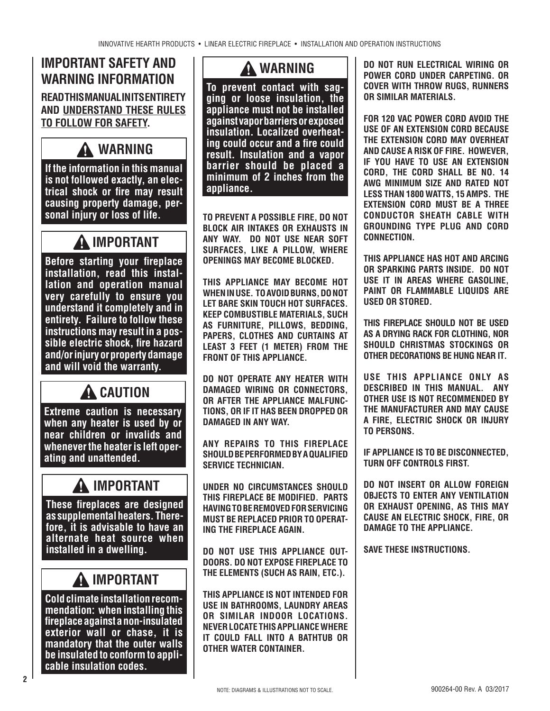## **IMPORTANT SAFETY AND WARNING INFORMATION**

**READ THIS MANUAL IN ITS ENTIRETY AND UNDERSTAND THESE RULES TO FOLLOW FOR SAFETY.**

## **WARNING**

**If the information in this manual is not followed exactly, an electrical shock or fire may result causing property damage, personal injury or loss of life.**

## **IMPORTANT**

**Before starting your fireplace installation, read this installation and operation manual very carefully to ensure you understand it completely and in entirety. Failure to follow these instructions may result in a possible electric shock, fi re hazard and/or injury or property damage and will void the warranty.**

## **A** CAUTION

**Extreme caution is necessary when any heater is used by or near children or invalids and whenever the heater is left operating and unattended.**

# **IMPORTANT**

**These fireplaces are designed as supplemental heaters. Therefore, it is advisable to have an alternate heat source when installed in a dwelling.**

## **IMPORTANT**

**Cold climate installation recommendation: when installing this fi replace against a non-insulated exterior wall or chase, it is mandatory that the outer walls be insulated to conform to applicable insulation codes.**

## **WARNING**

**To prevent contact with sagging or loose insulation, the appliance must not be installed against vapor barriers or exposed insulation. Localized overheating could occur and a fire could result. Insulation and a vapor barrier should be placed a minimum of 2 inches from the appliance.**

**TO PREVENT A POSSIBLE FIRE, DO NOT BLOCK AIR INTAKES OR EXHAUSTS IN ANY WAY. DO NOT USE NEAR SOFT SURFACES, LIKE A PILLOW, WHERE OPENINGS MAY BECOME BLOCKED.**

**THIS APPLIANCE MAY BECOME HOT WHEN IN USE. TO AVOID BURNS, DO NOT LET BARE SKIN TOUCH HOT SURFACES. KEEP COMBUSTIBLE MATERIALS, SUCH AS FURNITURE, PILLOWS, BEDDING, PAPERS, CLOTHES AND CURTAINS AT LEAST 3 FEET (1 METER) FROM THE FRONT OF THIS APPLIANCE.** 

**DO NOT OPERATE ANY HEATER WITH DAMAGED WIRING OR CONNECTORS, OR AFTER THE APPLIANCE MALFUNC-TIONS, OR IF IT HAS BEEN DROPPED OR DAMAGED IN ANY WAY.**

**ANY REPAIRS TO THIS FIREPLACE SHOULD BE PERFORMED BY A QUALIFIED SERVICE TECHNICIAN.**

**UNDER NO CIRCUMSTANCES SHOULD THIS FIREPLACE BE MODIFIED. PARTS HAVING TO BE REMOVED FOR SERVICING MUST BE REPLACED PRIOR TO OPERAT-ING THE FIREPLACE AGAIN.**

**DO NOT USE THIS APPLIANCE OUT-DOORS. DO NOT EXPOSE FIREPLACE TO THE ELEMENTS (SUCH AS RAIN, ETC.).**

**THIS APPLIANCE IS NOT INTENDED FOR USE IN BATHROOMS, LAUNDRY AREAS OR SIMILAR INDOOR LOCATIONS. NEVER LOCATE THIS APPLIANCE WHERE IT COULD FALL INTO A BATHTUB OR OTHER WATER CONTAINER.**

**DO NOT RUN ELECTRICAL WIRING OR POWER CORD UNDER CARPETING. OR COVER WITH THROW RUGS, RUNNERS OR SIMILAR MATERIALS.** 

**FOR 120 VAC POWER CORD AVOID THE USE OF AN EXTENSION CORD BECAUSE THE EXTENSION CORD MAY OVERHEAT AND CAUSE A RISK OF FIRE. HOWEVER, IF YOU HAVE TO USE AN EXTENSION CORD, THE CORD SHALL BE NO. 14 AWG MINIMUM SIZE AND RATED NOT LESS THAN 1800 WATTS, 15 AMPS. THE EXTENSION CORD MUST BE A THREE CONDUCTOR SHEATH CABLE WITH GROUNDING TYPE PLUG AND CORD CONNECTION.**

**THIS APPLIANCE HAS HOT AND ARCING OR SPARKING PARTS INSIDE. DO NOT USE IT IN AREAS WHERE GASOLINE, PAINT OR FLAMMABLE LIQUIDS ARE USED OR STORED.** 

**THIS FIREPLACE SHOULD NOT BE USED AS A DRYING RACK FOR CLOTHING, NOR SHOULD CHRISTMAS STOCKINGS OR OTHER DECORATIONS BE HUNG NEAR IT.**

**USE THIS APPLIANCE ONLY AS DESCRIBED IN THIS MANUAL. ANY OTHER USE IS NOT RECOMMENDED BY THE MANUFACTURER AND MAY CAUSE A FIRE, ELECTRIC SHOCK OR INJURY TO PERSONS.**

**IF APPLIANCE IS TO BE DISCONNECTED, TURN OFF CONTROLS FIRST.**

**DO NOT INSERT OR ALLOW FOREIGN OBJECTS TO ENTER ANY VENTILATION OR EXHAUST OPENING, AS THIS MAY CAUSE AN ELECTRIC SHOCK, FIRE, OR DAMAGE TO THE APPLIANCE.**

**SAVE THESE INSTRUCTIONS.**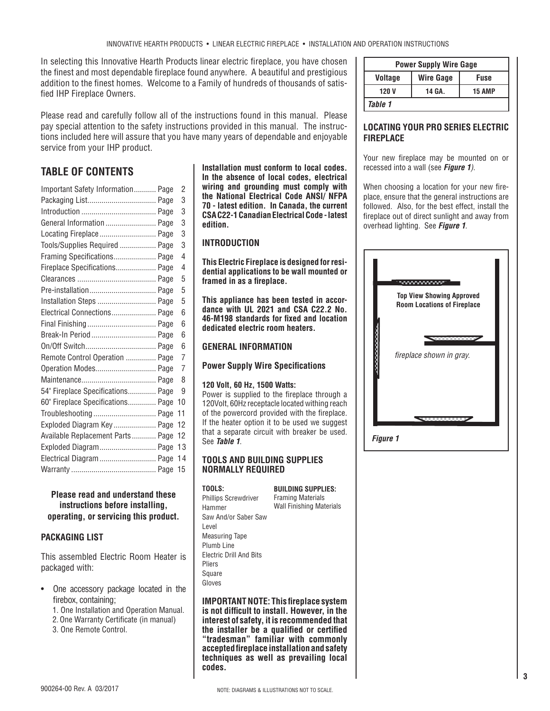In selecting this Innovative Hearth Products linear electric fireplace, you have chosen the finest and most dependable fireplace found anywhere. A beautiful and prestigious addition to the finest homes. Welcome to a Family of hundreds of thousands of satisfied IHP Fireplace Owners.

Please read and carefully follow all of the instructions found in this manual. Please pay special attention to the safety instructions provided in this manual. The instructions included here will assure that you have many years of dependable and enjoyable service from your IHP product.

## **TABLE OF CONTENTS**

| Important Safety Information Page | 2  |
|-----------------------------------|----|
|                                   | 3  |
|                                   | 3  |
| General Information  Page         | 3  |
| Locating Fireplace Page           | 3  |
| Tools/Supplies Required  Page     | 3  |
| Framing Specifications Page       | 4  |
| Fireplace Specifications Page     | 4  |
|                                   | 5  |
| Pre-installation Page             | 5  |
| Installation Steps  Page          | 5  |
| Electrical Connections Page       | 6  |
|                                   | 6  |
| Break-In Period  Page             | 6  |
|                                   | 6  |
| Remote Control Operation  Page    | 7  |
| Operation Modes Page              | 7  |
|                                   | 8  |
| 54" Fireplace Specifications Page | 9  |
| 60" Fireplace Specifications Page | 10 |
|                                   | 11 |
| Exploded Diagram Key Page         | 12 |
| Available Replacement Parts Page  | 12 |
| Exploded Diagram Page             | 13 |
| Electrical Diagram  Page          | 14 |
|                                   | 15 |
|                                   |    |

### **Please read and understand these instructions before installing, operating, or servicing this product.**

## **PACKAGING LIST**

This assembled Electric Room Heater is packaged with:

- One accessory package located in the firebox, containing;
	- 1. One Installation and Operation Manual.
	- 2. One Warranty Certificate (in manual)
	- 3. One Remote Control.

**Installation must conform to local codes. In the absence of local codes, electrical wiring and grounding must comply with the National Electrical Code ANSI/ NFPA 70 - latest edition. In Canada, the current CSA C22-1 Canadian Electrical Code - latest edition.**

## **INTRODUCTION**

**This Electric Fireplace is designed for residential applications to be wall mounted or**  framed in as a fireplace.

**This appliance has been tested in accordance with UL 2021 and CSA C22.2 No. 46-M198 standards for fi xed and location dedicated electric room heaters.**

## **GENERAL INFORMATION**

**Power Supply Wire Specifications** 

### **120 Volt, 60 Hz, 1500 Watts:**

Power is supplied to the fireplace through a 120Volt, 60Hz receptacle located withing reach of the powercord provided with the fireplace. If the heater option it to be used we suggest that a separate circuit with breaker be used. See *Table 1*.

### **TOOLS AND BUILDING SUPPLIES NORMALLY REQUIRED**

#### **TOOLS:**

**BUILDING SUPPLIES:** Framing Materials Wall Finishing Materials

Phillips Screwdriver Hammer Saw And/or Saber Saw Level Measuring Tape Plumb Line Electric Drill And Bits Pliers Square Gloves

**IMPORTANT NOTE: This fireplace system** is not difficult to install. However, in the **interest of safety, it is recommended that**  the installer be a qualified or certified **"tradesman" familiar with commonly accepted fi replace installation and safety techniques as well as prevailing local codes.**

| <b>Power Supply Wire Gage</b> |                  |               |
|-------------------------------|------------------|---------------|
| <b>Voltage</b>                | <b>Wire Gage</b> | <b>Fuse</b>   |
| 120 V                         | 14 GA.           | <b>15 AMP</b> |
| Table 1                       |                  |               |

## **LOCATING YOUR PRO SERIES ELECTRIC FIREPLACE**

Your new fireplace may be mounted on or recessed into a wall (see *Figure 1)*.

When choosing a location for your new fireplace, ensure that the general instructions are followed. Also, for the best effect, install the fireplace out of direct sunlight and away from overhead lighting. See *Figure 1*.



*Figure 1*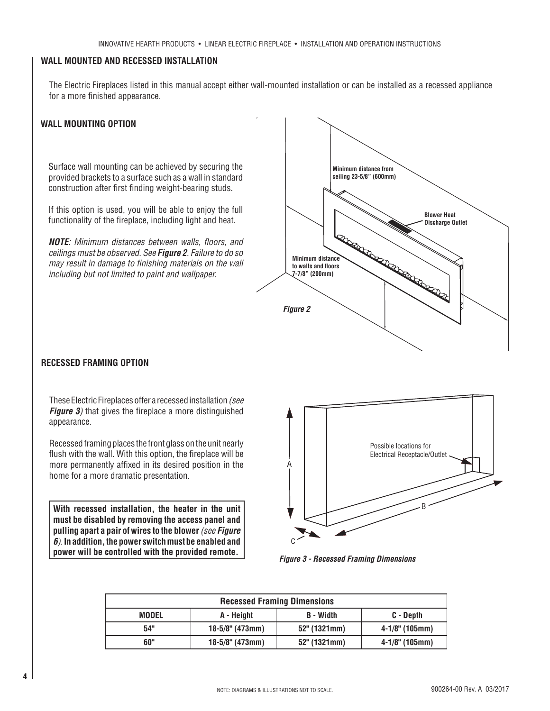## **WALL MOUNTED AND RECESSED INSTALLATION**

The Electric Fireplaces listed in this manual accept either wall-mounted installation or can be installed as a recessed appliance for a more finished appearance.

### **WALL MOUNTING OPTION**

Surface wall mounting can be achieved by securing the provided brackets to a surface such as a wall in standard construction after first finding weight-bearing studs.

If this option is used, you will be able to enjoy the full functionality of the fireplace, including light and heat.

**NOTE**: Minimum distances between walls, floors, and *ceilings must be observed. See Figure 2. Failure to do so may result in damage to finishing materials on the wall including but not limited to paint and wallpaper.*



#### **RECESSED FRAMING OPTION**

These Electric Fireplaces offer a recessed installation *(see Figure 3*) that gives the fireplace a more distinguished appearance.

Recessed framing places the front glass on the unit nearly flush with the wall. With this option, the fireplace will be more permanently affixed in its desired position in the home for a more dramatic presentation.

**With recessed installation, the heater in the unit must be disabled by removing the access panel and pulling apart a pair of wires to the blower** *(see Figure 6)*. **In addition, the power switch must be enabled and power will be controlled with the provided remote.**



*Figure 3 - Recessed Framing Dimensions*

| <b>Recessed Framing Dimensions</b> |                    |                  |                     |
|------------------------------------|--------------------|------------------|---------------------|
| <b>MODEL</b>                       | A - Height         | <b>B</b> - Width | C - Depth           |
| 54"                                | $18-5/8$ " (473mm) | $52"$ (1321mm)   | $4 - 1/8$ " (105mm) |
| 60"                                | $18-5/8$ " (473mm) | $52"$ (1321mm)   | $4 - 1/8$ " (105mm) |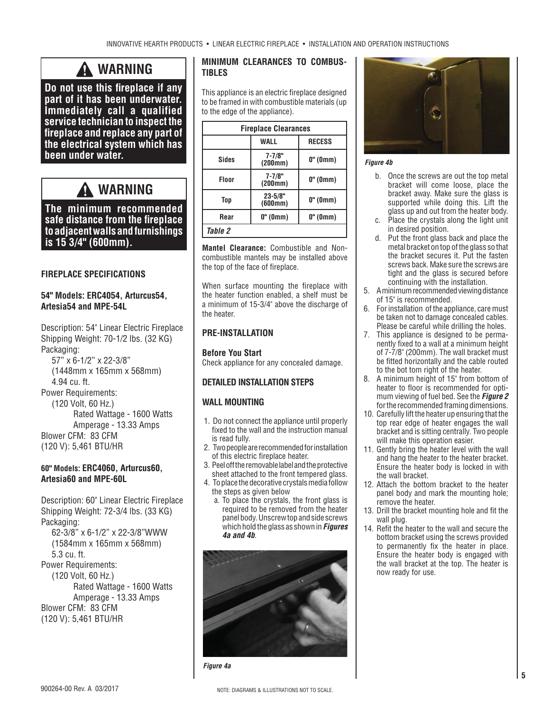## **WARNING**

**Do not use this fireplace if any part of it has been underwater. Immediately call a qualified service technician to inspect the fi replace and replace any part of the electrical system which has been under water.**

## **WARNING**

**The minimum recommended safe distance from the fi replace to adjacent walls and furnishings is 15 3/4" (600mm).** 

### **FIREPLACE SPECIFICATIONS**

### **54" Models: ERC4054, Arturcus54, Artesia54 and MPE-54L**

Description: 54" Linear Electric Fireplace Shipping Weight: 70-1/2 lbs. (32 KG) Packaging:

 57" x 6-1/2" x 22-3/8" (1448mm x 165mm x 568mm) 4.94 cu. ft. Power Requirements: (120 Volt, 60 Hz.) Rated Wattage - 1600 Watts Amperage - 13.33 Amps Blower CFM: 83 CFM (120 V): 5,461 BTU/HR

### **60" Models: ERC4060, Arturcus60, Artesia60 and MPE-60L**

Description: 60" Linear Electric Fireplace Shipping Weight: 72-3/4 lbs. (33 KG) Packaging: 62-3/8" x 6-1/2" x 22-3/8"WWW

 (1584mm x 165mm x 568mm) 5.3 cu. ft. Power Requirements: (120 Volt, 60 Hz.) Rated Wattage - 1600 Watts Amperage - 13.33 Amps Blower CFM: 83 CFM (120 V): 5,461 BTU/HR

### **MINIMUM CLEARANCES TO COMBUS-TIBLES**

This appliance is an electric fireplace designed to be framed in with combustible materials (up to the edge of the appliance).

| <b>Fireplace Clearances</b> |                        |               |
|-----------------------------|------------------------|---------------|
|                             | <b>WALL</b>            | <b>RECESS</b> |
| Sides                       | $7 - 7/8"$<br>(200mm)  | $0"$ (0mm)    |
| <b>Floor</b>                | $7 - 7/8"$<br>(200mm)  | $0"$ (0mm)    |
| Top                         | $23 - 5/8"$<br>(600mm) | $0"$ (0mm)    |
| Rear                        | $0"$ (0mm)             | 0" (0mm)      |
| Table 2                     |                        |               |

**Mantel Clearance:** Combustible and Noncombustible mantels may be installed above the top of the face of fireplace.

When surface mounting the fireplace with the heater function enabled, a shelf must be a minimum of 15-3/4" above the discharge of the heater.

## **PRE-INSTALLATION**

**Before You Start** Check appliance for any concealed damage.

### **DETAILED INSTALLATION STEPS**

#### **WALL MOUNTING**

- 1. Do not connect the appliance until properly fixed to the wall and the instruction manual is read fully.
- 2. Two people are recommended for installation of this electric fireplace heater.
- 3. Peel off the removable label and the protective sheet attached to the front tempered glass.
- 4. To place the decorative crystals media follow the steps as given below
	- a. To place the crystals, the front glass is required to be removed from the heater panel body. Unscrew top and side screws which hold the glass as shown in *Figures 4a and 4b*.



*Figure 4a*



#### *Figure 4b*

- b. Once the screws are out the top metal bracket will come loose, place the bracket away. Make sure the glass is supported while doing this. Lift the glass up and out from the heater body.
- c. Place the crystals along the light unit in desired position.
- d. Put the front glass back and place the metal bracket on top of the glass so that the bracket secures it. Put the fasten screws back. Make sure the screws are tight and the glass is secured before continuing with the installation.
- 5. A minimum recommended viewing distance of 15" is recommended.
- 6. For installation of the appliance, care must be taken not to damage concealed cables. Please be careful while drilling the holes.
- 7. This appliance is designed to be permanently fixed to a wall at a minimum height of 7-7/8" (200mm). The wall bracket must be fitted horizontally and the cable routed to the bot tom right of the heater.
- 8. A minimum height of 15" from bottom of heater to floor is recommended for optimum viewing of fuel bed. See the *Figure 2* for the recommended framing dimensions.
- 10. Carefully lift the heater up ensuring that the top rear edge of heater engages the wall bracket and is sitting centrally. Two people will make this operation easier.
- 11. Gently bring the heater level with the wall and hang the heater to the heater bracket. Ensure the heater body is locked in with the wall bracket.
- 12. Attach the bottom bracket to the heater panel body and mark the mounting hole; remove the heater.
- 13. Drill the bracket mounting hole and fit the wall plug.
- 14. Refit the heater to the wall and secure the bottom bracket using the screws provided to permanently fix the heater in place. Ensure the heater body is engaged with the wall bracket at the top. The heater is now ready for use.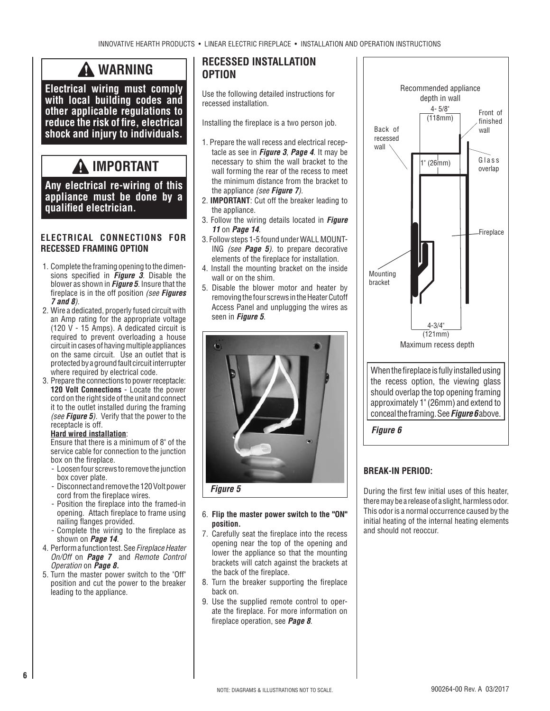## **WARNING**

**Electrical wiring must comply with local building codes and other applicable regulations to**  reduce the risk of fire, electrical **shock and injury to individuals.**

## **IMPORTANT**

**Any electrical re-wiring of this appliance must be done by a qualifi ed electrician.**

### **ELECTRICAL CONNECTIONS FOR RECESSED FRAMING OPTION**

- 1. Complete the framing opening to the dimensions specified in **Figure 3**. Disable the blower as shown in *Figure 5*. Insure that the fi replace is in the off position *(see Figures 7 and 8).*
- 2. Wire a dedicated, properly fused circuit with an Amp rating for the appropriate voltage (120 V - 15 Amps). A dedicated circuit is required to prevent overloading a house circuit in cases of having multiple appliances on the same circuit. Use an outlet that is protected by a ground fault circuit interrupter where required by electrical code.
- 3. Prepare the connections to power receptacle: **120 Volt Connections** - Locate the power cord on the right side of the unit and connect it to the outlet installed during the framing *(see Figure 5).* Verify that the power to the receptacle is off.

#### **Hard wired installation**:

 Ensure that there is a minimum of 8" of the service cable for connection to the junction box on the fireplace.

- Loosen four screws to remove the junction box cover plate.
- Disconnect and remove the 120 Volt power cord from the fireplace wires.
- Position the fireplace into the framed-in opening. Attach fireplace to frame using nailing flanges provided.
- Complete the wiring to the fireplace as shown on *Page 14*.
- 4. Perform a function test. See *Fireplace Heater On/Off* on *Page 7* and *Remote Control Operation* on *Page 8.*
- 5. Turn the master power switch to the "Off" position and cut the power to the breaker leading to the appliance.

## **RECESSED INSTALLATION OPTION**

Use the following detailed instructions for recessed installation.

Installing the fireplace is a two person job.

- 1. Prepare the wall recess and electrical receptacle as see in *Figure 3*, *Page 4*. It may be necessary to shim the wall bracket to the wall forming the rear of the recess to meet the minimum distance from the bracket to the appliance *(see Figure 7).*
- 2. **IMPORTANT**: Cut off the breaker leading to the appliance.
- 3. Follow the wiring details located in *Figure 11* on *Page 14*.
- 3. Follow steps 1-5 found under WALL MOUNT-ING *(see Page 5).* to prepare decorative elements of the fireplace for installation.
- 4. Install the mounting bracket on the inside wall or on the shim.
- 5. Disable the blower motor and heater by removing the four screws in the Heater Cutoff Access Panel and unplugging the wires as seen in *Figure 5*.



#### 6. **Flip the master power switch to the "ON" position.**

- 7. Carefully seat the fireplace into the recess opening near the top of the opening and lower the appliance so that the mounting brackets will catch against the brackets at the back of the fireplace.
- 8. Turn the breaker supporting the fireplace back on.
- 9. Use the supplied remote control to operate the fireplace. For more information on fi replace operation, see *Page 8*.



## **BREAK-IN PERIOD:**

During the first few initial uses of this heater, there may be a release of a slight, harmless odor. This odor is a normal occurrence caused by the initial heating of the internal heating elements and should not reoccur.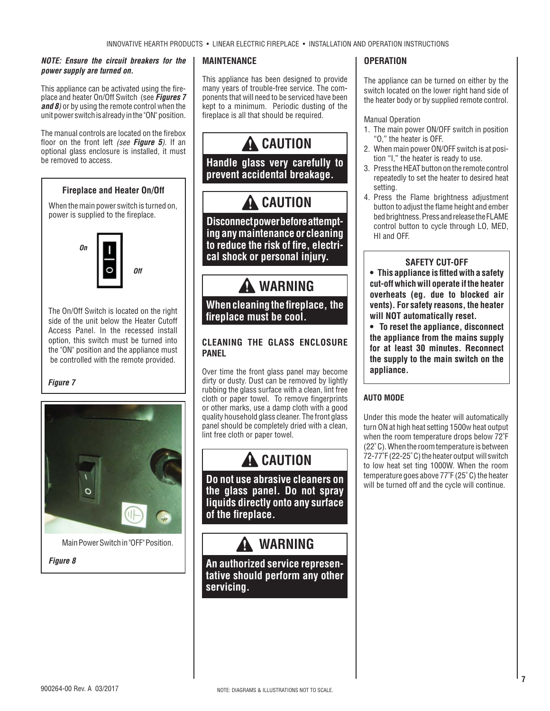#### *NOTE: Ensure the circuit breakers for the power supply are turned on.*

This appliance can be activated using the fireplace and heater On/Off Switch (see *Figures 7 and 8)* or by using the remote control when the unit power switch is already in the "ON" position.

The manual controls are located on the firebox floor on the front left (see **Figure 5**). If an optional glass enclosure is installed, it must be removed to access.

## **Fireplace and Heater On/Off**

When the main power switch is turned on, power is supplied to the fireplace.



The On/Off Switch is located on the right side of the unit below the Heater Cutoff Access Panel. In the recessed install option, this switch must be turned into the "ON" position and the appliance must be controlled with the remote provided.

#### *Figure 7*



Main Power Switch in "OFF" Position.

*Figure 8*

### **MAINTENANCE**

This appliance has been designed to provide many years of trouble-free service. The components that will need to be serviced have been kept to a minimum. Periodic dusting of the fireplace is all that should be required.



**Disconnect power before attempting any maintenance or cleaning**  to reduce the risk of fire, electri**cal shock or personal injury.** 

## **WARNING**

## **When cleaning the fireplace, the** fireplace must be cool.

## **CLEANING THE GLASS ENCLOSURE PANEL**

Over time the front glass panel may become dirty or dusty. Dust can be removed by lightly rubbing the glass surface with a clean, lint free cloth or paper towel. To remove fingerprints or other marks, use a damp cloth with a good quality household glass cleaner. The front glass panel should be completely dried with a clean, lint free cloth or paper towel.

## **A** CAUTION

**Do not use abrasive cleaners on the glass panel. Do not spray liquids directly onto any surface of the fireplace.** 

## **WARNING**

**An authorized service representative should perform any other servicing.**

### **OPERATION**

The appliance can be turned on either by the switch located on the lower right hand side of the heater body or by supplied remote control.

#### Manual Operation

- 1. The main power ON/OFF switch in position "O," the heater is OFF.
- 2. When main power ON/OFF switch is at position "I," the heater is ready to use.
- 3. Press the HEAT button on the remote control repeatedly to set the heater to desired heat setting.
- 4. Press the Flame brightness adjustment button to adjust the flame height and ember bed brightness. Press and release the FLAME control button to cycle through LO, MED, HI and OFF.

### **SAFETY CUT-OFF**

**• This appliance is fi tted with a safety cut-off which will operate if the heater overheats (eg. due to blocked air vents). For safety reasons, the heater will NOT automatically reset.**

**• To reset the appliance, disconnect the appliance from the mains supply for at least 30 minutes. Reconnect the supply to the main switch on the appliance.**

## **AUTO MODE**

Under this mode the heater will automatically turn ON at high heat setting 1500w heat output when the room temperature drops below 72˚F (22˚ C). When the room temperature is between 72-77˚F (22-25˚ C) the heater output will switch to low heat set ting 1000W. When the room temperature goes above 77˚F (25˚ C) the heater will be turned off and the cycle will continue.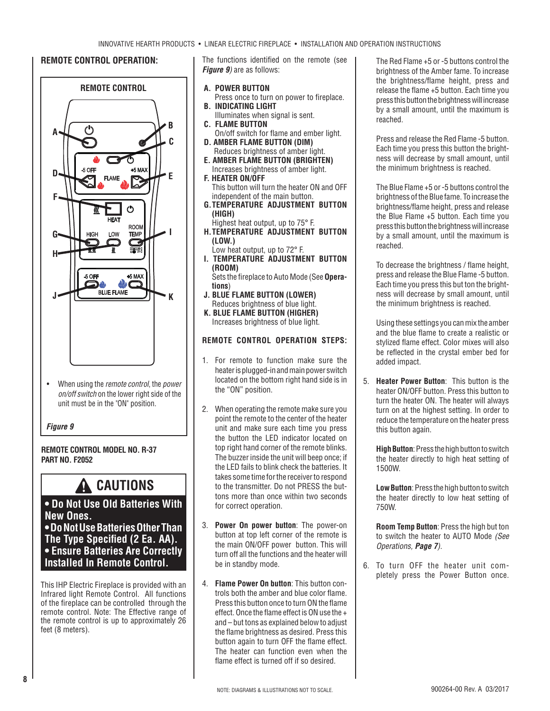### **REMOTE CONTROL OPERATION:**



• When using the *remote control*, the *power on/off switch* on the lower right side of the unit must be in the "ON" position.

#### *Figure 9*

#### **REMOTE CONTROL MODEL NO. R-37 PART NO. F2052**

## **CAUTIONS**

## **• Do Not Use Old Batteries With New Ones. • Do Not Use Batteries Other Than The Type Specified (2 Ea. AA). • Ensure Batteries Are Correctly Installed In Remote Control.**

This IHP Electric Fireplace is provided with an Infrared light Remote Control. All functions of the fireplace can be controlled through the remote control. Note: The Effective range of the remote control is up to approximately 26 feet (8 meters).

The functions identified on the remote (see *Figure 9)* are as follows:

- **A. POWER BUTTON**
- Press once to turn on power to fireplace. **B. INDICATING LIGHT**
- Illuminates when signal is sent. **C. FLAME BUTTON**
- 
- On/off switch for flame and ember light. **D. AMBER FLAME BUTTON (DIM)** Reduces brightness of amber light.
- **E. AMBER FLAME BUTTON (BRIGHTEN)** Increases brightness of amber light.
- **F. HEATER ON/OFF** This button will turn the heater ON and OFF
- independent of the main button. **G. TEMPERATURE ADJUSTMENT BUTTON (HIGH)**
- Highest heat output, up to 75° F. **H. TEMPERATURE ADJUSTMENT BUTTON (LOW.)**
- Low heat output, up to 72° F.
- **I. TEMPERATURE ADJUSTMENT BUTTON (ROOM)**

Sets the fireplace to Auto Mode (See Opera**tions**)

- **J. BLUE FLAME BUTTON (LOWER)** Reduces brightness of blue light.
- **K. BLUE FLAME BUTTON (HIGHER)** Increases brightness of blue light.

## **REMOTE CONTROL OPERATION STEPS:**

- 1. For remote to function make sure the heater is plugged-in and main power switch located on the bottom right hand side is in the "ON" position.
- 2. When operating the remote make sure you point the remote to the center of the heater unit and make sure each time you press the button the LED indicator located on top right hand corner of the remote blinks. The buzzer inside the unit will beep once; if the LED fails to blink check the batteries. It takes some time for the receiver to respond to the transmitter. Do not PRESS the buttons more than once within two seconds for correct operation.
- 3. **Power On power button**: The power-on button at top left corner of the remote is the main ON/OFF power button. This will turn off all the functions and the heater will be in standby mode.
- 4. **Flame Power On button**: This button controls both the amber and blue color flame. Press this button once to turn ON the flame effect. Once the flame effect is ON use the  $+$ and – but tons as explained below to adjust the flame brightness as desired. Press this button again to turn OFF the flame effect. The heater can function even when the flame effect is turned off if so desired.

 The Red Flame +5 or -5 buttons control the brightness of the Amber fame. To increase the brightness/flame height, press and release the flame  $+5$  button. Each time you press this button the brightness will increase by a small amount, until the maximum is reached.

 Press and release the Red Flame -5 button. Each time you press this button the brightness will decrease by small amount, until the minimum brightness is reached.

 The Blue Flame +5 or -5 buttons control the brightness of the Blue fame. To increase the brightness/flame height, press and release the Blue Flame +5 button. Each time you press this button the brightness will increase by a small amount, until the maximum is reached.

To decrease the brightness / flame height, press and release the Blue Flame -5 button. Each time you press this but ton the brightness will decrease by small amount, until the minimum brightness is reached.

Using these settings you can mix the amber and the blue flame to create a realistic or stylized flame effect. Color mixes will also be reflected in the crystal ember bed for added impact.

5. **Heater Power Button**: This button is the heater ON/OFF button. Press this button to turn the heater ON. The heater will always turn on at the highest setting. In order to reduce the temperature on the heater press this button again.

**High Button**: Press the high button to switch the heater directly to high heat setting of 1500W.

**Low Button**: Press the high button to switch the heater directly to low heat setting of 750W.

**Room Temp Button**: Press the high but ton to switch the heater to AUTO Mode *(See Operations, Page 7).*

6. To turn OFF the heater unit completely press the Power Button once.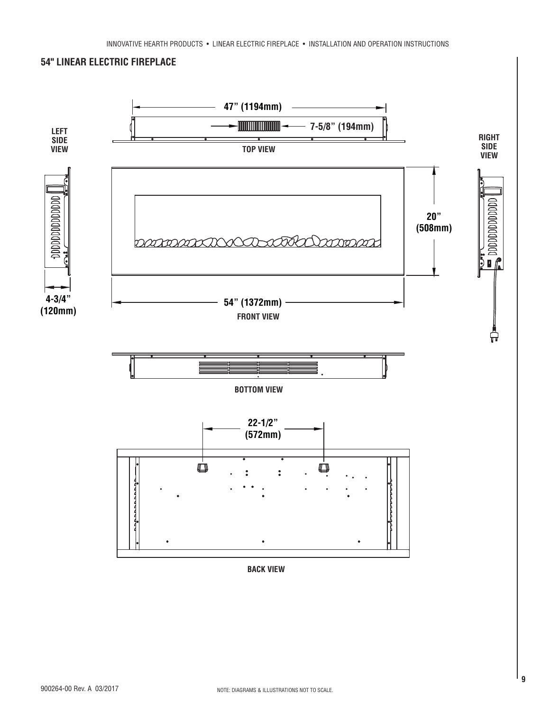

**BACK VIEW**

**54" LINEAR ELECTRIC FIREPLACE**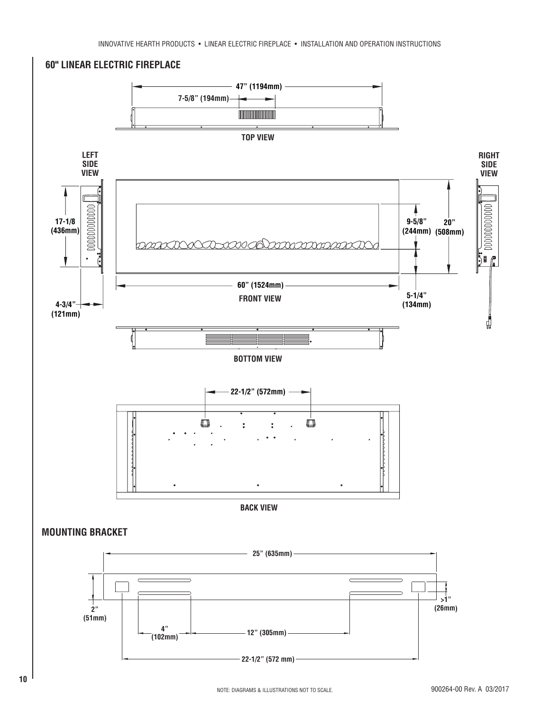



**60" LINEAR ELECTRIC FIREPLACE**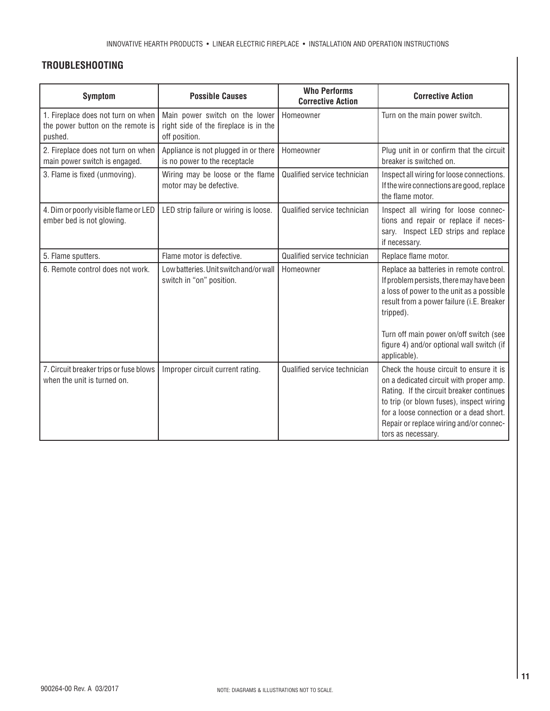## **TROUBLESHOOTING**

| <b>Symptom</b>                                                                     | <b>Possible Causes</b>                                                                   | <b>Who Performs</b><br><b>Corrective Action</b> | <b>Corrective Action</b>                                                                                                                                                                                                                                                               |
|------------------------------------------------------------------------------------|------------------------------------------------------------------------------------------|-------------------------------------------------|----------------------------------------------------------------------------------------------------------------------------------------------------------------------------------------------------------------------------------------------------------------------------------------|
| 1. Fireplace does not turn on when<br>the power button on the remote is<br>pushed. | Main power switch on the lower<br>right side of the fireplace is in the<br>off position. | Homeowner                                       | Turn on the main power switch.                                                                                                                                                                                                                                                         |
| 2. Fireplace does not turn on when<br>main power switch is engaged.                | Appliance is not plugged in or there<br>is no power to the receptacle                    | Homeowner                                       | Plug unit in or confirm that the circuit<br>breaker is switched on.                                                                                                                                                                                                                    |
| 3. Flame is fixed (unmoving).                                                      | Wiring may be loose or the flame<br>motor may be defective.                              | Qualified service technician                    | Inspect all wiring for loose connections.<br>If the wire connections are good, replace<br>the flame motor.                                                                                                                                                                             |
| 4. Dim or poorly visible flame or LED<br>ember bed is not glowing.                 | LED strip failure or wiring is loose.                                                    | Qualified service technician                    | Inspect all wiring for loose connec-<br>tions and repair or replace if neces-<br>sary. Inspect LED strips and replace<br>if necessary.                                                                                                                                                 |
| 5. Flame sputters.                                                                 | Flame motor is defective.                                                                | Qualified service technician                    | Replace flame motor.                                                                                                                                                                                                                                                                   |
| 6. Remote control does not work.                                                   | Low batteries. Unit switch and/or wall<br>switch in "on" position.                       | Homeowner                                       | Replace aa batteries in remote control.<br>If problem persists, there may have been<br>a loss of power to the unit as a possible<br>result from a power failure (i.E. Breaker<br>tripped).<br>Turn off main power on/off switch (see                                                   |
|                                                                                    |                                                                                          |                                                 | figure 4) and/or optional wall switch (if<br>applicable).                                                                                                                                                                                                                              |
| 7. Circuit breaker trips or fuse blows<br>when the unit is turned on.              | Improper circuit current rating.                                                         | Qualified service technician                    | Check the house circuit to ensure it is<br>on a dedicated circuit with proper amp.<br>Rating. If the circuit breaker continues<br>to trip (or blown fuses), inspect wiring<br>for a loose connection or a dead short.<br>Repair or replace wiring and/or connec-<br>tors as necessary. |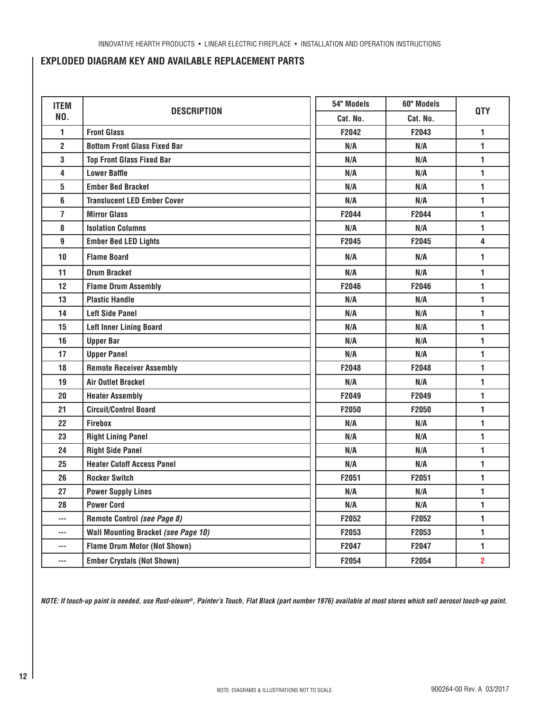## **EXPLODED DIAGRAM KEY AND AVAILABLE REPLACEMENT PARTS**

| <b>ITEM</b>              | <b>DESCRIPTION</b>                                | 54" Models      | 60" Models | <b>QTY</b>     |
|--------------------------|---------------------------------------------------|-----------------|------------|----------------|
| NO.                      |                                                   | Cat. No.        | Cat. No.   |                |
| 1                        | <b>Front Glass</b>                                | F2042           | F2043      | 1              |
| $\overline{2}$           | <b>Bottom Front Glass Fixed Bar</b>               | N/A             | N/A        | 1              |
| 3                        | <b>Top Front Glass Fixed Bar</b>                  | N/A             | N/A        | 1              |
| 4                        | <b>Lower Baffle</b>                               | N/A             | N/A        | 1              |
| 5                        | <b>Ember Bed Bracket</b>                          | N/A             | N/A        | 1              |
| 6                        | <b>Translucent LED Ember Cover</b>                | N/A             | N/A        | 1              |
| 7                        | <b>Mirror Glass</b>                               | F2044           | F2044      | 1              |
| 8                        | <b>Isolation Columns</b>                          | N/A             | N/A        | 1              |
| 9                        | <b>Ember Bed LED Lights</b>                       | F2045           | F2045      | 4              |
| 10                       | <b>Flame Board</b>                                | N/A             | N/A        | 1              |
| 11                       | <b>Drum Bracket</b>                               | N/A             | N/A        | 1              |
| 12                       | <b>Flame Drum Assembly</b>                        | F2046           | F2046      | 1              |
| 13                       | <b>Plastic Handle</b>                             | N/A             | N/A        | 1              |
| 14                       | <b>Left Side Panel</b>                            | N/A             | N/A        | 1              |
| 15                       | <b>Left Inner Lining Board</b><br>N/A<br>N/A      |                 | 1          |                |
| 16                       | <b>Upper Bar</b>                                  | N/A             | N/A        | 1              |
| 17                       | <b>Upper Panel</b><br>N/A<br>N/A                  |                 | 1          |                |
| 18                       | <b>Remote Receiver Assembly</b><br>F2048<br>F2048 |                 | 1          |                |
| 19                       | <b>Air Outlet Bracket</b>                         | 1<br>N/A<br>N/A |            |                |
| 20                       | <b>Heater Assembly</b>                            | F2049           | F2049      | 1              |
| 21                       | <b>Circuit/Control Board</b>                      | F2050           | F2050      | $\blacksquare$ |
| 22                       | <b>Firebox</b>                                    | N/A             | N/A        | 1              |
| 23                       | <b>Right Lining Panel</b>                         | N/A             | N/A        | 1              |
| 24                       | <b>Right Side Panel</b>                           | N/A             | N/A        | 1              |
| 25                       | <b>Heater Cutoff Access Panel</b><br>N/A<br>N/A   |                 | 1          |                |
| 26                       | <b>Rocker Switch</b><br>F2051<br>F2051            |                 | 1          |                |
| 27                       | <b>Power Supply Lines</b>                         | N/A             | N/A        | 1              |
| 28                       | <b>Power Cord</b>                                 | N/A             | N/A        | 1              |
| ---                      | Remote Control (see Page 8)                       | F2052           | F2052      | 1              |
| $\overline{\phantom{a}}$ | Wall Mounting Bracket (see Page 10)               | F2053           | F2053      | 1              |
| $\overline{\phantom{a}}$ | <b>Flame Drum Motor (Not Shown)</b>               | F2047           | F2047      | $\mathbf{1}$   |
| ---                      | <b>Ember Crystals (Not Shown)</b>                 | F2054           | F2054      | $\overline{2}$ |

*NOTE: If touch-up paint is needed, use Rust-oleum®, Painter's Touch, Flat Black (part number 1976) available at most stores which sell aerosol touch-up paint.*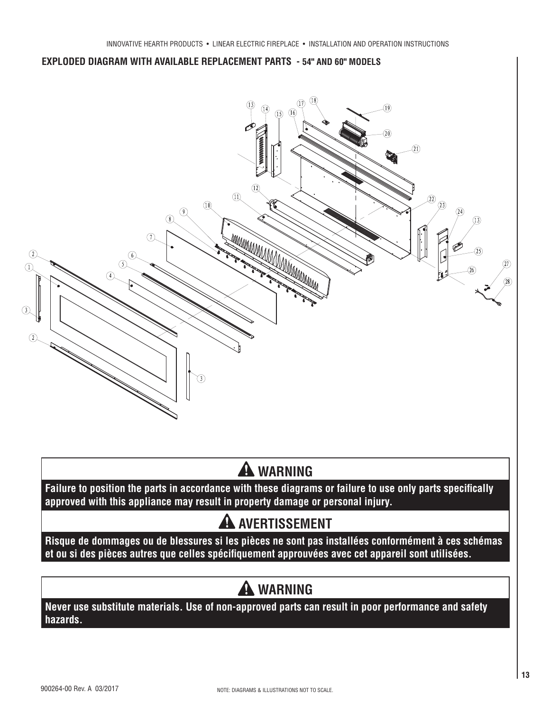

# A WARNING

Failure to position the parts in accordance with these diagrams or failure to use only parts specifically **approved with this appliance may result in property damage or personal injury.**

# **A AVERTISSEMENT**

**Risque de dommages ou de blessures si les pièces ne sont pas installées conformément à ces schémas**  et ou si des pièces autres que celles spécifiquement approuvées avec cet appareil sont utilisées.

# **WARNING**

**Never use substitute materials. Use of non-approved parts can result in poor performance and safety hazards.**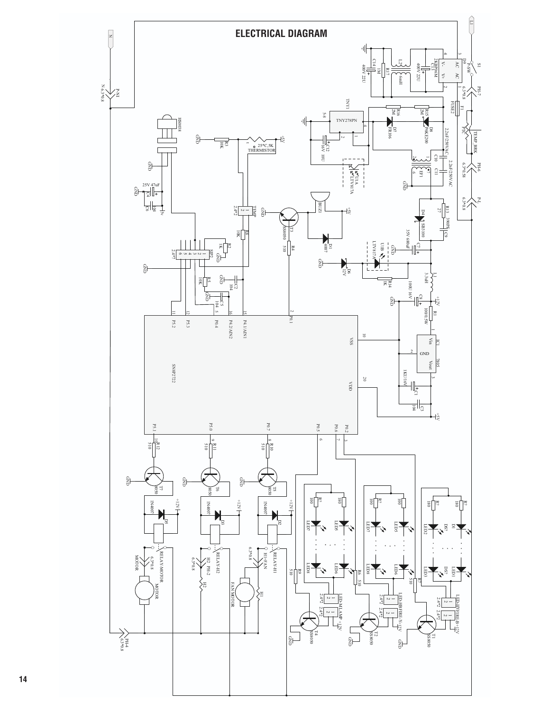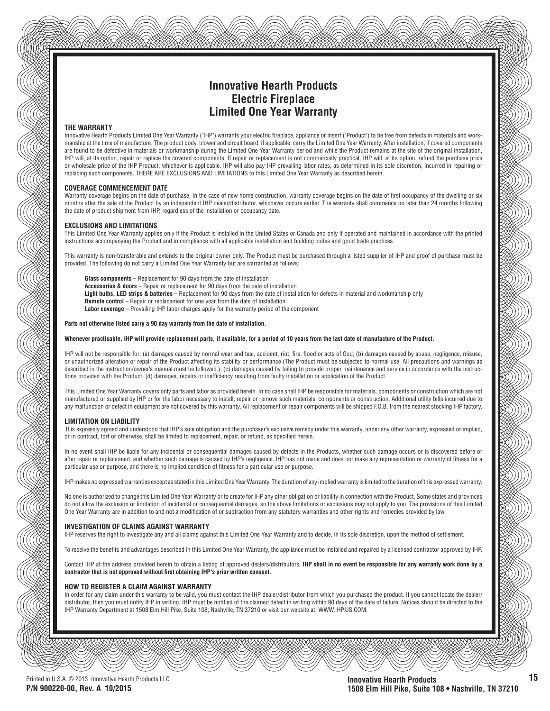## **Innovative Hearth Products Electric Fireplace Limited One Year Warranty**

#### **THE WARRANTY**

Innovative Hearth Products Limited One Year Warranty ("IHP") warrants your electric fireplace, appliance or insert ("Product") to be free from defects in materials and workmanship at the time of manufacture. The product body, blower and circuit board, if applicable, carry the Limited One Year Warranty. After installation, if covered components are found to be defective in materials or workmanship during the Limited One Year Warranty period and while the Product remains at the site of the original installation, IHP will, at its option, repair or replace the covered components. If repair or replacement is not commercially practical, IHP will, at its option, refund the purchase price or wholesale price of the IHP Product, whichever is applicable. IHP will also pay IHP prevailing labor rates, as determined in its sole discretion, incurred in repairing or replacing such components. THERE ARE EXCLUSIONS AND LIMITATIONS to this Limited One Year Warranty as described herein.

#### **COVERAGE COMMENCEMENT DATE**

Warranty coverage begins on the date of purchase. In the case of new home construction, warranty coverage begins on the date of first occupancy of the dwelling or six months after the sale of the Product by an independent IHP dealer/distributor, whichever occurs earlier. The warranty shall commence no later than 24 months following the date of product shipment from IHP, regardless of the installation or occupancy date.

#### **EXCLUSIONS AND LIMITATIONS**

This Limited One Year Warranty applies only if the Product is installed in the United States or Canada and only if operated and maintained in accordance with the printed instructions accompanying the Product and in compliance with all applicable installation and building codes and good trade practices.

This warranty is non-transferable and extends to the original owner only. The Product must be purchased through a listed supplier of IHP and proof of purchase must be provided. The following do not carry a Limited One Year Warranty but are warranted as follows:

**Glass components** – Replacement for 90 days from the date of installation

- **Accessories & doors** Repair or replacement for 90 days from the date of installation
- **Light bulbs, LED strips & batteries** Replacement for 90 days from the date of installation for defects in material and workmanship only
- **Remote control** Repair or replacement for one year from the date of installation
- **Labor coverage** Prevailing IHP labor charges apply for the warranty period of the component

#### **Parts not otherwise listed carry a 90 day warranty from the date of installation.**

#### **Whenever practicable, IHP will provide replacement parts, if available, for a period of 10 years from the last date of manufacture of the Product.**

IHP will not be responsible for: (a) damages caused by normal wear and tear, accident, riot, fire, flood or acts of God; (b) damages caused by abuse, negligence, misuse, or unauthorized alteration or repair of the Product affecting its stability or performance (The Product must be subjected to normal use. All precautions and warnings as described in the instruction/owner's manual must be followed.); (c) damages caused by failing to provide proper maintenance and service in accordance with the instructions provided with the Product; (d) damages, repairs or inefficiency resulting from faulty installation or application of the Product.

This Limited One Year Warranty covers only parts and labor as provided herein. In no case shall IHP be responsible for materials, components or construction which are not manufactured or supplied by IHP or for the labor necessary to install, repair or remove such materials, components or construction. Additional utility bills incurred due to any malfunction or defect in equipment are not covered by this warranty. All replacement or repair components will be shipped F.O.B. from the nearest stocking IHP factory.

#### **LIMITATION ON LIABILITY**

 It is expressly agreed and understood that IHP's sole obligation and the purchaser's exclusive remedy under this warranty, under any other warranty, expressed or implied, or in contract, tort or otherwise, shall be limited to replacement, repair, or refund, as specified herein.

In no event shall IHP be liable for any incidental or consequential damages caused by defects in the Products, whether such damage occurs or is discovered before or after repair or replacement, and whether such damage is caused by IHP's negligence. IHP has not made and does not make any representation or warranty of fitness for a particular use or purpose, and there is no implied condition of fitness for a particular use or purpose.

IHP makes no expressed warranties except as stated in this Limited One Year Warranty. The duration of any implied warranty is limited to the duration of this expressed warranty.

No one is authorized to change this Limited One Year Warranty or to create for IHP any other obligation or liability in connection with the Product. Some states and provinces do not allow the exclusion or limitation of incidental or consequential damages, so the above limitations or exclusions may not apply to you. The provisions of this Limited One Year Warranty are in addition to and not a modification of or subtraction from any statutory warranties and other rights and remedies provided by law.

#### **INVESTIGATION OF CLAIMS AGAINST WARRANTY**

IHP reserves the right to investigate any and all claims against this Limited One Year Warranty and to decide, in its sole discretion, upon the method of settlement.

To receive the benefits and advantages described in this Limited One Year Warranty, the appliance must be installed and repaired by a licensed contractor approved by IHP.

Contact IHP at the address provided herein to obtain a listing of approved dealers/distributors. **IHP shall in no event be responsible for any warranty work done by a**  contractor that is not approved without first obtaining IHP's prior written consent.

#### **HOW TO REGISTER A CLAIM AGAINST WARRANTY**

In order for any claim under this warranty to be valid, you must contact the IHP dealer/distributor from which you purchased the product. If you cannot locate the dealer/ distributor, then you must notify IHP in writing. IHP must be notified of the claimed defect in writing within 90 days of the date of failure. Notices should be directed to the IHP Warranty Department at 1508 Elm Hill Pike, Suite 108; Nashville, TN 37210 or visit our website at WWW.IHP.US.COM.

**15**